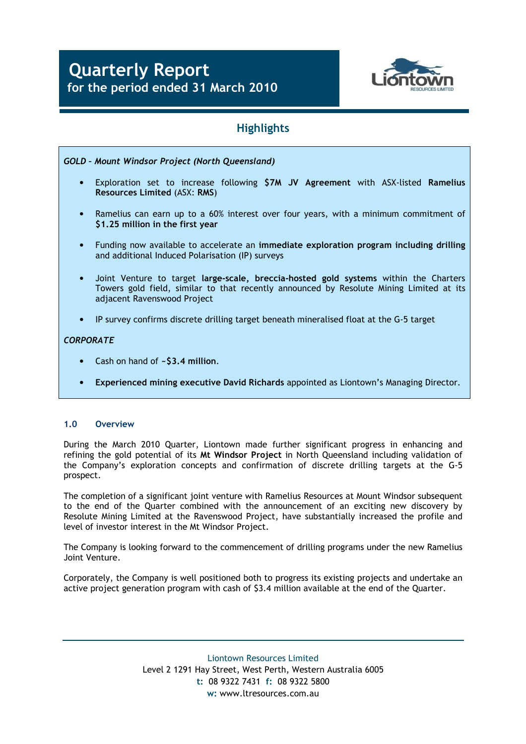

# **Highlights**

- GOLD Mount Windsor Project (North Queensland)
	- Exploration set to increase following \$7M JV Agreement with ASX-listed Ramelius Resources Limited (ASX: RMS)
	- Ramelius can earn up to a 60% interest over four years, with a minimum commitment of \$1.25 million in the first year
	- Funding now available to accelerate an immediate exploration program including drilling and additional Induced Polarisation (IP) surveys
	- Joint Venture to target large-scale, breccia-hosted gold systems within the Charters Towers gold field, similar to that recently announced by Resolute Mining Limited at its adjacent Ravenswood Project
	- IP survey confirms discrete drilling target beneath mineralised float at the G-5 target

## **CORPORATE**

- Cash on hand of  $-$ \$3.4 million.
- Experienced mining executive David Richards appointed as Liontown's Managing Director.

## 1.0 Overview

During the March 2010 Quarter, Liontown made further significant progress in enhancing and refining the gold potential of its Mt Windsor Project in North Queensland including validation of the Company's exploration concepts and confirmation of discrete drilling targets at the G-5 prospect.

The completion of a significant joint venture with Ramelius Resources at Mount Windsor subsequent to the end of the Quarter combined with the announcement of an exciting new discovery by Resolute Mining Limited at the Ravenswood Project, have substantially increased the profile and level of investor interest in the Mt Windsor Project.

The Company is looking forward to the commencement of drilling programs under the new Ramelius Joint Venture.

Corporately, the Company is well positioned both to progress its existing projects and undertake an active project generation program with cash of \$3.4 million available at the end of the Quarter.

> Liontown Resources Limited Level 2 1291 Hay Street, West Perth, Western Australia 6005 t: 08 9322 7431 f: 08 9322 5800 w: www.ltresources.com.au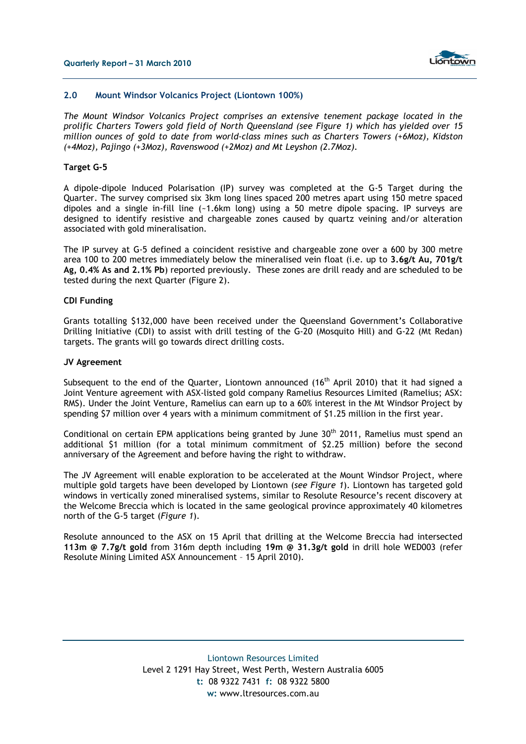

### 2.0 Mount Windsor Volcanics Project (Liontown 100%)

The Mount Windsor Volcanics Project comprises an extensive tenement package located in the prolific Charters Towers gold field of North Queensland (see Figure 1) which has yielded over 15 million ounces of gold to date from world-class mines such as Charters Towers (+6Moz), Kidston (+4Moz), Pajingo (+3Moz), Ravenswood (+2Moz) and Mt Leyshon (2.7Moz).

#### Target G-5

A dipole-dipole Induced Polarisation (IP) survey was completed at the G-5 Target during the Quarter. The survey comprised six 3km long lines spaced 200 metres apart using 150 metre spaced dipoles and a single in-fill line (~1.6km long) using a 50 metre dipole spacing. IP surveys are designed to identify resistive and chargeable zones caused by quartz veining and/or alteration associated with gold mineralisation.

The IP survey at G-5 defined a coincident resistive and chargeable zone over a 600 by 300 metre area 100 to 200 metres immediately below the mineralised vein float (i.e. up to 3.6g/t Au, 701g/t Ag, 0.4% As and 2.1% Pb) reported previously. These zones are drill ready and are scheduled to be tested during the next Quarter (Figure 2).

#### CDI Funding

Grants totalling \$132,000 have been received under the Queensland Government's Collaborative Drilling Initiative (CDI) to assist with drill testing of the G-20 (Mosquito Hill) and G-22 (Mt Redan) targets. The grants will go towards direct drilling costs.

### JV Agreement

Subsequent to the end of the Quarter, Liontown announced (16<sup>th</sup> April 2010) that it had signed a Joint Venture agreement with ASX-listed gold company Ramelius Resources Limited (Ramelius; ASX: RMS). Under the Joint Venture, Ramelius can earn up to a 60% interest in the Mt Windsor Project by spending \$7 million over 4 years with a minimum commitment of \$1.25 million in the first year.

Conditional on certain EPM applications being granted by June 30<sup>th</sup> 2011, Ramelius must spend an additional \$1 million (for a total minimum commitment of \$2.25 million) before the second anniversary of the Agreement and before having the right to withdraw.

The JV Agreement will enable exploration to be accelerated at the Mount Windsor Project, where multiple gold targets have been developed by Liontown (see Figure 1). Liontown has targeted gold windows in vertically zoned mineralised systems, similar to Resolute Resource's recent discovery at the Welcome Breccia which is located in the same geological province approximately 40 kilometres north of the G-5 target (Figure 1).

Resolute announced to the ASX on 15 April that drilling at the Welcome Breccia had intersected 113m @ 7.7g/t gold from 316m depth including 19m @ 31.3g/t gold in drill hole WED003 (refer Resolute Mining Limited ASX Announcement – 15 April 2010).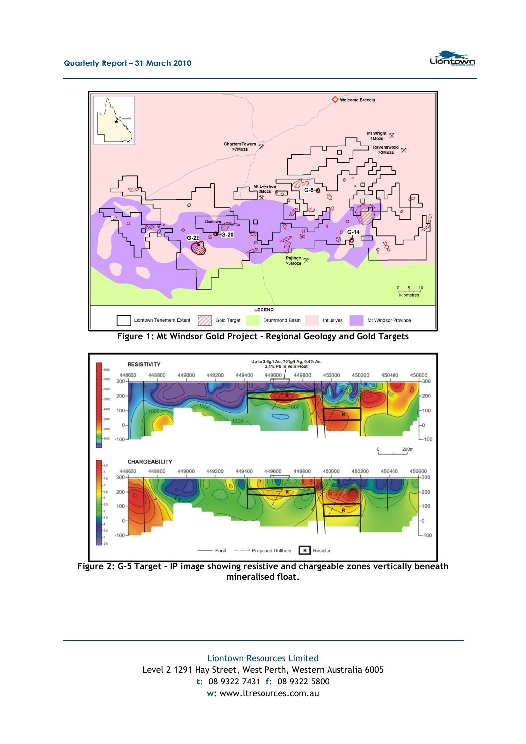



Figure 1: Mt Windsor Gold Project – Regional Geology and Gold Targets



Figure 2: G-5 Target – IP image showing resistive and chargeable zones vertically beneath mineralised float.

Liontown Resources Limited Level 2 1291 Hay Street, West Perth, Western Australia 6005 t: 08 9322 7431 f: 08 9322 5800 w: www.ltresources.com.au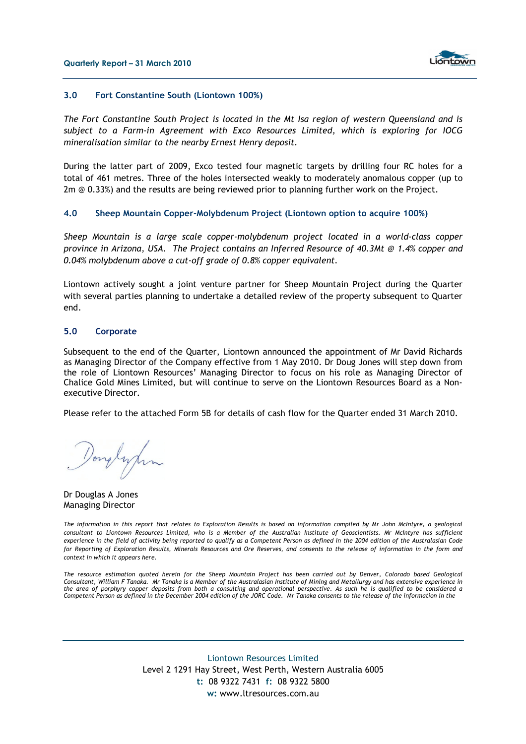

#### 3.0 Fort Constantine South (Liontown 100%)

The Fort Constantine South Project is located in the Mt Isa region of western Queensland and is subject to a Farm-in Agreement with Exco Resources Limited, which is exploring for IOCG mineralisation similar to the nearby Ernest Henry deposit.

During the latter part of 2009, Exco tested four magnetic targets by drilling four RC holes for a total of 461 metres. Three of the holes intersected weakly to moderately anomalous copper (up to 2m @ 0.33%) and the results are being reviewed prior to planning further work on the Project.

#### 4.0 Sheep Mountain Copper-Molybdenum Project (Liontown option to acquire 100%)

Sheep Mountain is a large scale copper-molybdenum project located in a world-class copper province in Arizona, USA. The Project contains an Inferred Resource of 40.3Mt @ 1.4% copper and 0.04% molybdenum above a cut-off grade of 0.8% copper equivalent.

Liontown actively sought a joint venture partner for Sheep Mountain Project during the Quarter with several parties planning to undertake a detailed review of the property subsequent to Quarter end.

#### 5.0 Corporate

Subsequent to the end of the Quarter, Liontown announced the appointment of Mr David Richards as Managing Director of the Company effective from 1 May 2010. Dr Doug Jones will step down from the role of Liontown Resources' Managing Director to focus on his role as Managing Director of Chalice Gold Mines Limited, but will continue to serve on the Liontown Resources Board as a Nonexecutive Director.

Please refer to the attached Form 5B for details of cash flow for the Quarter ended 31 March 2010.

Douglynn

Dr Douglas A Jones Managing Director

The information in this report that relates to Exploration Results is based on information compiled by Mr John McIntyre, a geological consultant to Liontown Resources Limited, who is a Member of the Australian Institute of Geoscientists. Mr McIntyre has sufficient experience in the field of activity being reported to qualify as a Competent Person as defined in the 2004 edition of the Australasian Code for Reporting of Exploration Results, Minerals Resources and Ore Reserves, and consents to the release of information in the form and context in which it appears here.

The resource estimation quoted herein for the Sheep Mountain Project has been carried out by Denver, Colorado based Geological Consultant, William F Tanaka. Mr Tanaka is a Member of the Australasian Institute of Mining and Metallurgy and has extensive experience in the area of porphyry copper deposits from both a consulting and operational perspective. As such he is qualified to be considered a Competent Person as defined in the December 2004 edition of the JORC Code. Mr Tanaka consents to the release of the information in the

> Liontown Resources Limited Level 2 1291 Hay Street, West Perth, Western Australia 6005 t: 08 9322 7431 f: 08 9322 5800 w: www.ltresources.com.au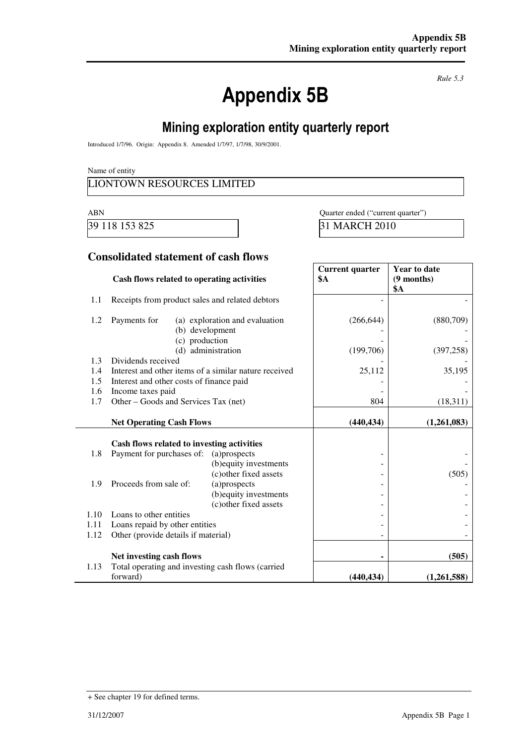# Appendix 5B

*Rule 5.3* 

# Mining exploration entity quarterly report

Introduced 1/7/96. Origin: Appendix 8. Amended 1/7/97, 1/7/98, 30/9/2001.

Name of entity

## LIONTOWN RESOURCES LIMITED

39 118 153 825 31 MARCH 2010

ABN Quarter ended ("current quarter")

## **Consolidated statement of cash flows**

|      | Cash flows related to operating activities            |                                | <b>Current quarter</b><br><b>\$A</b> | <b>Year to date</b><br>$(9$ months)<br><b>\$A</b> |
|------|-------------------------------------------------------|--------------------------------|--------------------------------------|---------------------------------------------------|
| 1.1  | Receipts from product sales and related debtors       |                                |                                      |                                                   |
| 1.2  | Payments for<br>(b) development                       | (a) exploration and evaluation | (266, 644)                           | (880,709)                                         |
|      | (c) production                                        | (d) administration             | (199,706)                            | (397, 258)                                        |
| 1.3  | Dividends received                                    |                                |                                      |                                                   |
| 1.4  | Interest and other items of a similar nature received |                                | 25,112                               | 35,195                                            |
| 1.5  | Interest and other costs of finance paid              |                                |                                      |                                                   |
| 1.6  | Income taxes paid                                     |                                |                                      |                                                   |
| 1.7  | Other – Goods and Services Tax (net)                  |                                | 804                                  | (18,311)                                          |
|      | <b>Net Operating Cash Flows</b>                       |                                | (440, 434)                           | (1,261,083)                                       |
|      | Cash flows related to investing activities            |                                |                                      |                                                   |
| 1.8  | Payment for purchases of:                             | (a)prospects                   |                                      |                                                   |
|      |                                                       | (b) equity investments         |                                      |                                                   |
|      |                                                       | (c) other fixed assets         |                                      | (505)                                             |
| 1.9  | Proceeds from sale of:                                | (a)prospects                   |                                      |                                                   |
|      |                                                       | (b) equity investments         |                                      |                                                   |
|      |                                                       | (c) other fixed assets         |                                      |                                                   |
| 1.10 | Loans to other entities                               |                                |                                      |                                                   |
| 1.11 | Loans repaid by other entities                        |                                |                                      |                                                   |
| 1.12 | Other (provide details if material)                   |                                |                                      |                                                   |
|      | Net investing cash flows                              |                                |                                      | (505)                                             |
| 1.13 | Total operating and investing cash flows (carried     |                                |                                      |                                                   |
|      | forward)                                              |                                | (440, 434)                           | (1,261,588)                                       |

<sup>+</sup> See chapter 19 for defined terms.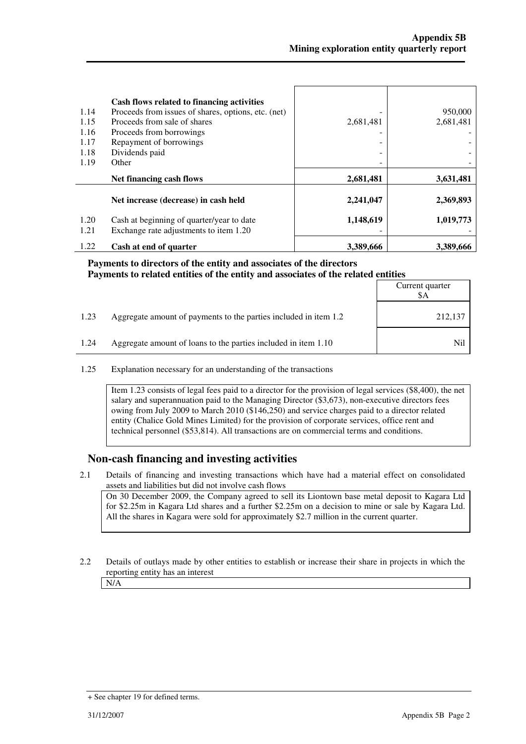| 1.14<br>1.15<br>1.16<br>1.17<br>1.18<br>1.19 | Cash flows related to financing activities<br>Proceeds from issues of shares, options, etc. (net)<br>Proceeds from sale of shares<br>Proceeds from borrowings<br>Repayment of borrowings<br>Dividends paid<br>Other | 2,681,481 | 950,000<br>2,681,481 |
|----------------------------------------------|---------------------------------------------------------------------------------------------------------------------------------------------------------------------------------------------------------------------|-----------|----------------------|
|                                              | Net financing cash flows                                                                                                                                                                                            | 2,681,481 | 3,631,481            |
|                                              | Net increase (decrease) in cash held                                                                                                                                                                                | 2,241,047 | 2,369,893            |
| 1.20<br>1.21                                 | Cash at beginning of quarter/year to date<br>Exchange rate adjustments to item 1.20                                                                                                                                 | 1,148,619 | 1,019,773            |
| 1.22                                         | Cash at end of quarter                                                                                                                                                                                              | 3,389,666 | 3,389,666            |

#### **Payments to directors of the entity and associates of the directors Payments to related entities of the entity and associates of the related entities**  $C$ <sub>u</sub>

|      |                                                                  | Current quarter<br>\$A |
|------|------------------------------------------------------------------|------------------------|
| 1.23 | Aggregate amount of payments to the parties included in item 1.2 | 212,137                |
| 1.24 | Aggregate amount of loans to the parties included in item 1.10   | Nil                    |

1.25 Explanation necessary for an understanding of the transactions

Item 1.23 consists of legal fees paid to a director for the provision of legal services (\$8,400), the net salary and superannuation paid to the Managing Director (\$3,673), non-executive directors fees owing from July 2009 to March 2010 (\$146,250) and service charges paid to a director related entity (Chalice Gold Mines Limited) for the provision of corporate services, office rent and technical personnel (\$53,814). All transactions are on commercial terms and conditions.

## **Non-cash financing and investing activities**

2.1 Details of financing and investing transactions which have had a material effect on consolidated assets and liabilities but did not involve cash flows

 On 30 December 2009, the Company agreed to sell its Liontown base metal deposit to Kagara Ltd for \$2.25m in Kagara Ltd shares and a further \$2.25m on a decision to mine or sale by Kagara Ltd. All the shares in Kagara were sold for approximately \$2.7 million in the current quarter.

2.2 Details of outlays made by other entities to establish or increase their share in projects in which the reporting entity has an interest N/A

<sup>+</sup> See chapter 19 for defined terms.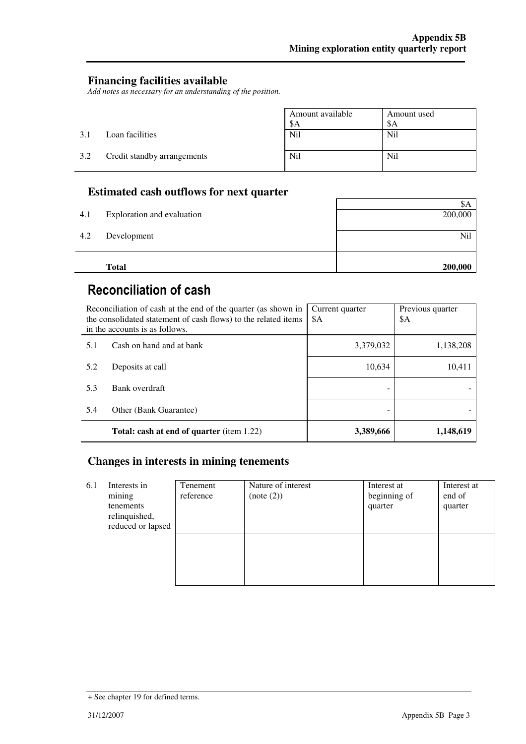## **Financing facilities available**

*Add notes as necessary for an understanding of the position.* 

|     |                             | Amount available<br>\$Α | Amount used<br>\$A |
|-----|-----------------------------|-------------------------|--------------------|
| 3.1 | Loan facilities             | Nil                     | N <sub>il</sub>    |
| 3.2 | Credit standby arrangements | Nil                     | Nil                |

## **Estimated cash outflows for next quarter**

|     | <b>Total</b>               | 200,000 |
|-----|----------------------------|---------|
|     |                            |         |
| 4.2 | Development                | Nil     |
| 4.1 | Exploration and evaluation | 200,000 |
|     |                            | ФA      |

# Reconciliation of cash

| Reconciliation of cash at the end of the quarter (as shown in<br>the consolidated statement of cash flows) to the related items<br>in the accounts is as follows. |                                                  | Current quarter<br>\$A | Previous quarter<br>\$A |
|-------------------------------------------------------------------------------------------------------------------------------------------------------------------|--------------------------------------------------|------------------------|-------------------------|
| 5.1                                                                                                                                                               | Cash on hand and at bank                         | 3,379,032              | 1,138,208               |
| 5.2                                                                                                                                                               | Deposits at call                                 | 10,634                 | 10,411                  |
| 5.3                                                                                                                                                               | Bank overdraft                                   |                        |                         |
| 5.4                                                                                                                                                               | Other (Bank Guarantee)                           |                        |                         |
|                                                                                                                                                                   | <b>Total: cash at end of quarter</b> (item 1.22) | 3,389,666              | 1,148,619               |

## **Changes in interests in mining tenements**

| 6.1 | Interests in<br>mining<br>tenements<br>relinquished,<br>reduced or lapsed | Tenement<br>reference | Nature of interest<br>(note (2)) | Interest at<br>beginning of<br>quarter | Interest at<br>end of<br>quarter |
|-----|---------------------------------------------------------------------------|-----------------------|----------------------------------|----------------------------------------|----------------------------------|
|     |                                                                           |                       |                                  |                                        |                                  |

<sup>+</sup> See chapter 19 for defined terms.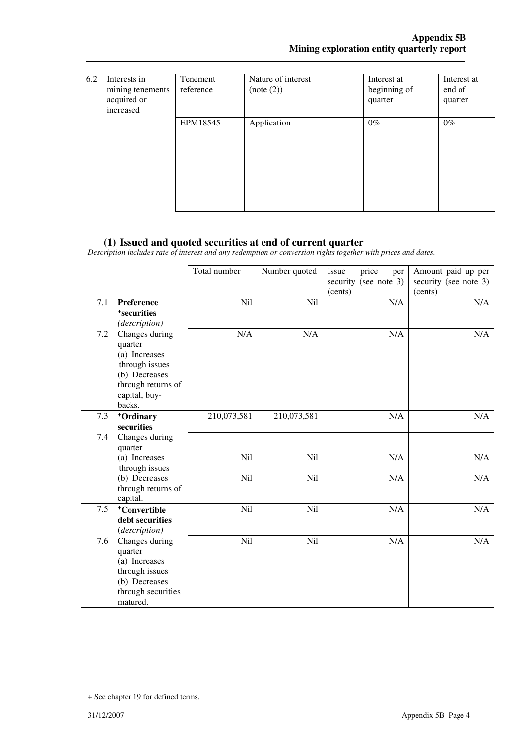| 6.2 | Interests in<br>mining tenements<br>acquired or<br>increased | Tenement<br>reference | Nature of interest<br>(note (2)) | Interest at<br>beginning of<br>quarter | Interest at<br>end of<br>quarter |
|-----|--------------------------------------------------------------|-----------------------|----------------------------------|----------------------------------------|----------------------------------|
|     |                                                              | EPM18545              | Application                      | $0\%$                                  | $0\%$                            |

## **(1) Issued and quoted securities at end of current quarter**

*Description includes rate of interest and any redemption or conversion rights together with prices and dates.* 

|     |                                                                                                                                | Total number | Number quoted   | price<br>Issue<br>per<br>security (see note 3)<br>(cents) | Amount paid up per<br>security (see note 3)<br>(cents) |
|-----|--------------------------------------------------------------------------------------------------------------------------------|--------------|-----------------|-----------------------------------------------------------|--------------------------------------------------------|
| 7.1 | Preference<br><sup>+</sup> securities<br>(description)                                                                         | Nil          | Nil             | N/A                                                       | N/A                                                    |
| 7.2 | Changes during<br>quarter<br>(a) Increases<br>through issues<br>(b) Decreases<br>through returns of<br>capital, buy-<br>backs. | N/A          | N/A             | N/A                                                       | N/A                                                    |
| 7.3 | +Ordinary<br>securities                                                                                                        | 210,073,581  | 210,073,581     | N/A                                                       | N/A                                                    |
| 7.4 | Changes during<br>quarter                                                                                                      |              |                 |                                                           |                                                        |
|     | (a) Increases<br>through issues                                                                                                | Nil          | N <sub>il</sub> | N/A                                                       | N/A                                                    |
|     | (b) Decreases<br>through returns of<br>capital.                                                                                | Nil          | Nil             | N/A                                                       | N/A                                                    |
| 7.5 | <sup>+</sup> Convertible                                                                                                       | Nil          | N <sub>il</sub> | N/A                                                       | N/A                                                    |
|     | debt securities<br>(description)                                                                                               |              |                 |                                                           |                                                        |
| 7.6 | Changes during<br>quarter<br>(a) Increases<br>through issues<br>(b) Decreases<br>through securities<br>matured.                | Nil          | Nil             | N/A                                                       | N/A                                                    |

<sup>+</sup> See chapter 19 for defined terms.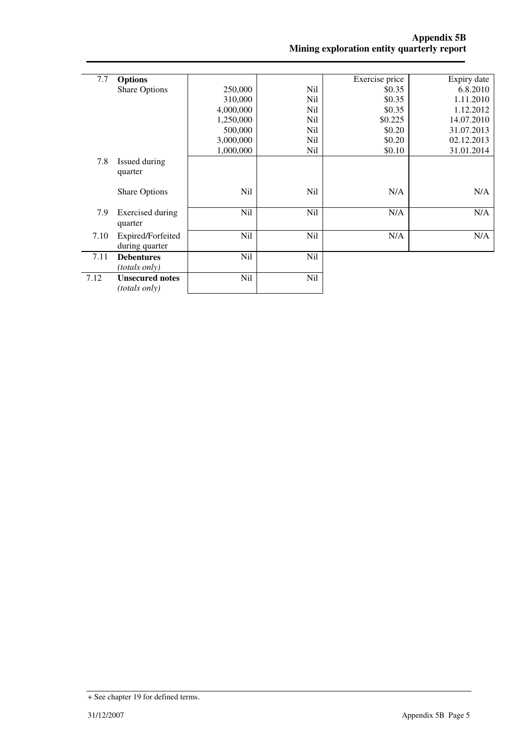| 7.7  | <b>Options</b>         |           |                 | Exercise price | Expiry date |
|------|------------------------|-----------|-----------------|----------------|-------------|
|      | <b>Share Options</b>   | 250,000   | N <sub>il</sub> | \$0.35         | 6.8.2010    |
|      |                        | 310,000   | Nil             | \$0.35         | 1.11.2010   |
|      |                        | 4,000,000 | Nil             | \$0.35         | 1.12.2012   |
|      |                        | 1,250,000 | Nil             | \$0.225        | 14.07.2010  |
|      |                        | 500,000   | Nil             | \$0.20         | 31.07.2013  |
|      |                        | 3,000,000 | Nil             | \$0.20         | 02.12.2013  |
|      |                        | 1,000,000 | Nil             | \$0.10         | 31.01.2014  |
| 7.8  | Issued during          |           |                 |                |             |
|      | quarter                |           |                 |                |             |
|      |                        |           |                 |                |             |
|      | <b>Share Options</b>   | Nil       | Nil             | N/A            | N/A         |
|      |                        |           |                 |                |             |
| 7.9  | Exercised during       | Nil       | Nil             | N/A            | N/A         |
|      | quarter                |           |                 |                |             |
| 7.10 | Expired/Forfeited      | Nil       | Nil             | N/A            | N/A         |
|      | during quarter         |           |                 |                |             |
| 7.11 | <b>Debentures</b>      | Nil       | Nil             |                |             |
|      | <i>(totals only)</i>   |           |                 |                |             |
| 7.12 | <b>Unsecured notes</b> | Nil       | Nil             |                |             |
|      | (totals only)          |           |                 |                |             |
|      |                        |           |                 |                |             |

<sup>+</sup> See chapter 19 for defined terms.